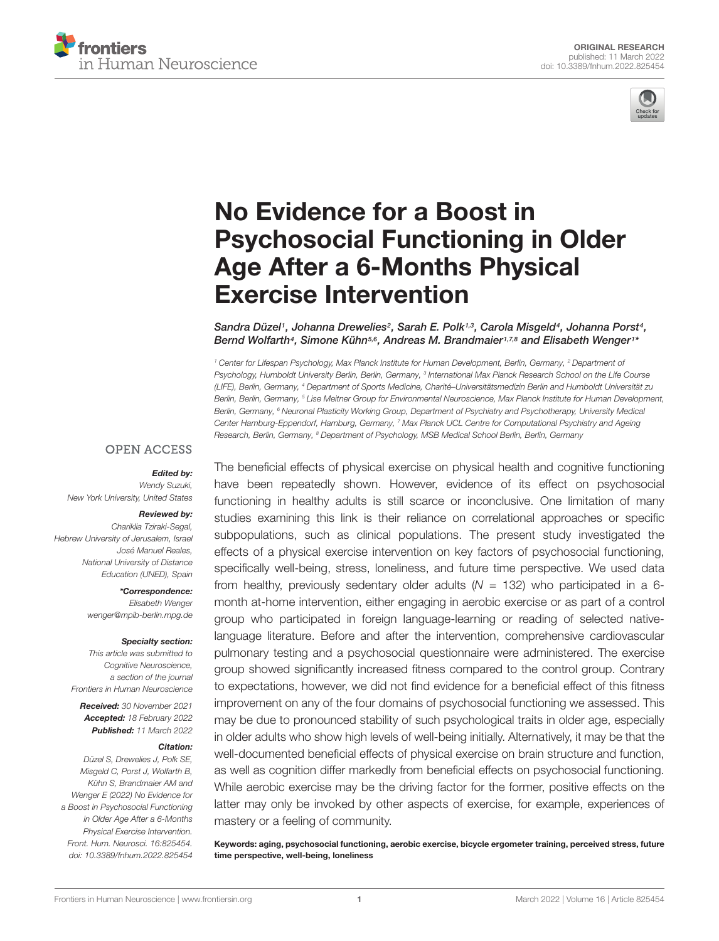



# No Evidence for a Boost in [Psychosocial Functioning in Older](https://www.frontiersin.org/articles/10.3389/fnhum.2022.825454/full) Age After a 6-Months Physical Exercise Intervention

Sandra Düzel1, Johanna Drewelies<sup>2</sup>, Sarah E. Polk1<sub>3</sub>, Carola Misgeld<sup>4</sup>, Johanna Porst<sup>4</sup>, Bernd Wolfarth<sup>4</sup>, Simone Kühn<sup>5,6</sup>, Andreas M. Brandmaier<sup>1,7,8</sup> and Elisabeth Wenger<sup>1</sup>\*

<sup>1</sup> Center for Lifespan Psychology, Max Planck Institute for Human Development, Berlin, Germany, <sup>2</sup> Department of Psychology, Humboldt University Berlin, Berlin, Germany, <sup>3</sup> International Max Planck Research School on the Life Course (LIFE), Berlin, Germany, <sup>4</sup> Department of Sports Medicine, Charité–Universitätsmedizin Berlin and Humboldt Universität zu Berlin, Berlin, Germany, <sup>5</sup> Lise Meitner Group for Environmental Neuroscience, Max Planck Institute for Human Development, Berlin, Germany, <sup>6</sup> Neuronal Plasticity Working Group, Department of Psychiatry and Psychotherapy, University Medical Center Hamburg-Eppendorf, Hamburg, Germany, <sup>7</sup> Max Planck UCL Centre for Computational Psychiatry and Ageing Research, Berlin, Germany, <sup>8</sup> Department of Psychology, MSB Medical School Berlin, Berlin, Germany

#### **OPEN ACCESS**

#### Edited by:

Wendy Suzuki, New York University, United States

#### Reviewed by:

Chariklia Tziraki-Segal, Hebrew University of Jerusalem, Israel José Manuel Reales, National University of Distance Education (UNED), Spain

> \*Correspondence: Elisabeth Wenger wenger@mpib-berlin.mpg.de

#### Specialty section:

This article was submitted to Cognitive Neuroscience, a section of the journal Frontiers in Human Neuroscience

Received: 30 November 2021 Accepted: 18 February 2022 Published: 11 March 2022

#### Citation:

Düzel S, Drewelies J, Polk SE, Misgeld C, Porst J, Wolfarth B, Kühn S, Brandmaier AM and Wenger E (2022) No Evidence for a Boost in Psychosocial Functioning in Older Age After a 6-Months Physical Exercise Intervention. Front. Hum. Neurosci. 16:825454. doi: [10.3389/fnhum.2022.825454](https://doi.org/10.3389/fnhum.2022.825454) The beneficial effects of physical exercise on physical health and cognitive functioning have been repeatedly shown. However, evidence of its effect on psychosocial functioning in healthy adults is still scarce or inconclusive. One limitation of many studies examining this link is their reliance on correlational approaches or specific subpopulations, such as clinical populations. The present study investigated the effects of a physical exercise intervention on key factors of psychosocial functioning, specifically well-being, stress, loneliness, and future time perspective. We used data from healthy, previously sedentary older adults  $(N = 132)$  who participated in a 6month at-home intervention, either engaging in aerobic exercise or as part of a control group who participated in foreign language-learning or reading of selected nativelanguage literature. Before and after the intervention, comprehensive cardiovascular pulmonary testing and a psychosocial questionnaire were administered. The exercise group showed significantly increased fitness compared to the control group. Contrary to expectations, however, we did not find evidence for a beneficial effect of this fitness improvement on any of the four domains of psychosocial functioning we assessed. This may be due to pronounced stability of such psychological traits in older age, especially in older adults who show high levels of well-being initially. Alternatively, it may be that the well-documented beneficial effects of physical exercise on brain structure and function, as well as cognition differ markedly from beneficial effects on psychosocial functioning. While aerobic exercise may be the driving factor for the former, positive effects on the latter may only be invoked by other aspects of exercise, for example, experiences of mastery or a feeling of community.

Keywords: aging, psychosocial functioning, aerobic exercise, bicycle ergometer training, perceived stress, future time perspective, well-being, loneliness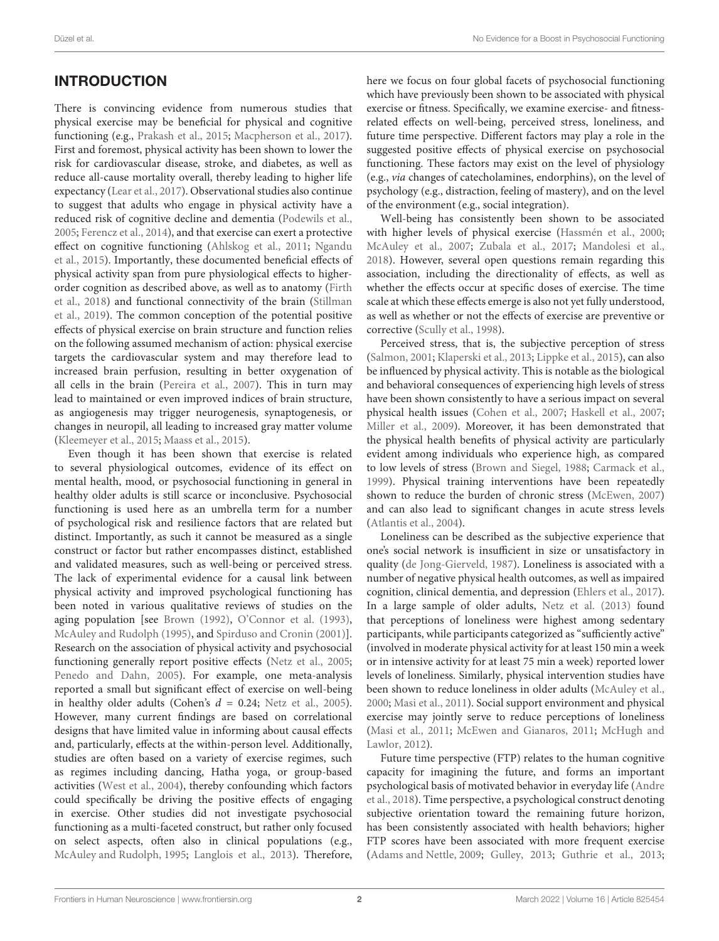# INTRODUCTION

There is convincing evidence from numerous studies that physical exercise may be beneficial for physical and cognitive functioning (e.g., [Prakash et al.,](#page-9-0) [2015;](#page-9-0) [Macpherson et al.,](#page-9-1) [2017\)](#page-9-1). First and foremost, physical activity has been shown to lower the risk for cardiovascular disease, stroke, and diabetes, as well as reduce all-cause mortality overall, thereby leading to higher life expectancy [\(Lear et al.,](#page-9-2) [2017\)](#page-9-2). Observational studies also continue to suggest that adults who engage in physical activity have a reduced risk of cognitive decline and dementia [\(Podewils et al.,](#page-9-3) [2005;](#page-9-3) [Ferencz et al.,](#page-8-0) [2014\)](#page-8-0), and that exercise can exert a protective effect on cognitive functioning [\(Ahlskog et al.,](#page-8-1) [2011;](#page-8-1) [Ngandu](#page-9-4) [et al.,](#page-9-4) [2015\)](#page-9-4). Importantly, these documented beneficial effects of physical activity span from pure physiological effects to higherorder cognition as described above, as well as to anatomy [\(Firth](#page-8-2) [et al.,](#page-8-2) [2018\)](#page-8-2) and functional connectivity of the brain [\(Stillman](#page-10-0) [et al.,](#page-10-0) [2019\)](#page-10-0). The common conception of the potential positive effects of physical exercise on brain structure and function relies on the following assumed mechanism of action: physical exercise targets the cardiovascular system and may therefore lead to increased brain perfusion, resulting in better oxygenation of all cells in the brain [\(Pereira et al.,](#page-9-5) [2007\)](#page-9-5). This in turn may lead to maintained or even improved indices of brain structure, as angiogenesis may trigger neurogenesis, synaptogenesis, or changes in neuropil, all leading to increased gray matter volume [\(Kleemeyer et al.,](#page-9-6) [2015;](#page-9-6) [Maass et al.,](#page-9-7) [2015\)](#page-9-7).

Even though it has been shown that exercise is related to several physiological outcomes, evidence of its effect on mental health, mood, or psychosocial functioning in general in healthy older adults is still scarce or inconclusive. Psychosocial functioning is used here as an umbrella term for a number of psychological risk and resilience factors that are related but distinct. Importantly, as such it cannot be measured as a single construct or factor but rather encompasses distinct, established and validated measures, such as well-being or perceived stress. The lack of experimental evidence for a causal link between physical activity and improved psychological functioning has been noted in various qualitative reviews of studies on the aging population [see [Brown](#page-8-3) [\(1992\)](#page-8-3), [O'Connor et al.](#page-9-8) [\(1993\)](#page-9-8), [McAuley and Rudolph](#page-9-9) [\(1995\)](#page-9-9), and [Spirduso and Cronin](#page-9-10) [\(2001\)](#page-9-10)]. Research on the association of physical activity and psychosocial functioning generally report positive effects [\(Netz et al.,](#page-9-11) [2005;](#page-9-11) [Penedo and Dahn,](#page-9-12) [2005\)](#page-9-12). For example, one meta-analysis reported a small but significant effect of exercise on well-being in healthy older adults (Cohen's  $d = 0.24$ ; [Netz et al.,](#page-9-11) [2005\)](#page-9-11). However, many current findings are based on correlational designs that have limited value in informing about causal effects and, particularly, effects at the within-person level. Additionally, studies are often based on a variety of exercise regimes, such as regimes including dancing, Hatha yoga, or group-based activities [\(West et al.,](#page-10-1) [2004\)](#page-10-1), thereby confounding which factors could specifically be driving the positive effects of engaging in exercise. Other studies did not investigate psychosocial functioning as a multi-faceted construct, but rather only focused on select aspects, often also in clinical populations (e.g., [McAuley and Rudolph,](#page-9-9) [1995;](#page-9-9) [Langlois et al.,](#page-9-13) [2013\)](#page-9-13). Therefore, here we focus on four global facets of psychosocial functioning which have previously been shown to be associated with physical exercise or fitness. Specifically, we examine exercise- and fitnessrelated effects on well-being, perceived stress, loneliness, and future time perspective. Different factors may play a role in the suggested positive effects of physical exercise on psychosocial functioning. These factors may exist on the level of physiology (e.g., via changes of catecholamines, endorphins), on the level of psychology (e.g., distraction, feeling of mastery), and on the level of the environment (e.g., social integration).

Well-being has consistently been shown to be associated with higher levels of physical exercise [\(Hassmén et al.,](#page-9-14) [2000;](#page-9-14) [McAuley et al.,](#page-9-15) [2007;](#page-9-15) [Zubala et al.,](#page-10-2) [2017;](#page-10-2) [Mandolesi et al.,](#page-9-16) [2018\)](#page-9-16). However, several open questions remain regarding this association, including the directionality of effects, as well as whether the effects occur at specific doses of exercise. The time scale at which these effects emerge is also not yet fully understood, as well as whether or not the effects of exercise are preventive or corrective [\(Scully et al.,](#page-9-17) [1998\)](#page-9-17).

Perceived stress, that is, the subjective perception of stress [\(Salmon,](#page-9-18) [2001;](#page-9-18) [Klaperski et al.,](#page-9-19) [2013;](#page-9-19) [Lippke et al.,](#page-9-20) [2015\)](#page-9-20), can also be influenced by physical activity. This is notable as the biological and behavioral consequences of experiencing high levels of stress have been shown consistently to have a serious impact on several physical health issues [\(Cohen et al.,](#page-8-4) [2007;](#page-8-4) [Haskell et al.,](#page-8-5) [2007;](#page-8-5) [Miller et al.,](#page-9-21) [2009\)](#page-9-21). Moreover, it has been demonstrated that the physical health benefits of physical activity are particularly evident among individuals who experience high, as compared to low levels of stress [\(Brown and Siegel,](#page-8-6) [1988;](#page-8-6) [Carmack et al.,](#page-8-7) [1999\)](#page-8-7). Physical training interventions have been repeatedly shown to reduce the burden of chronic stress [\(McEwen,](#page-9-22) [2007\)](#page-9-22) and can also lead to significant changes in acute stress levels [\(Atlantis et al.,](#page-8-8) [2004\)](#page-8-8).

Loneliness can be described as the subjective experience that one's social network is insufficient in size or unsatisfactory in quality [\(de Jong-Gierveld,](#page-8-9) [1987\)](#page-8-9). Loneliness is associated with a number of negative physical health outcomes, as well as impaired cognition, clinical dementia, and depression [\(Ehlers et al.,](#page-8-10) [2017\)](#page-8-10). In a large sample of older adults, [Netz et al.](#page-9-23) [\(2013\)](#page-9-23) found that perceptions of loneliness were highest among sedentary participants, while participants categorized as "sufficiently active" (involved in moderate physical activity for at least 150 min a week or in intensive activity for at least 75 min a week) reported lower levels of loneliness. Similarly, physical intervention studies have been shown to reduce loneliness in older adults [\(McAuley et al.,](#page-9-24) [2000;](#page-9-24) [Masi et al.,](#page-9-25) [2011\)](#page-9-25). Social support environment and physical exercise may jointly serve to reduce perceptions of loneliness [\(Masi et al.,](#page-9-25) [2011;](#page-9-25) [McEwen and Gianaros,](#page-9-26) [2011;](#page-9-26) [McHugh and](#page-9-27) [Lawlor,](#page-9-27) [2012\)](#page-9-27).

Future time perspective (FTP) relates to the human cognitive capacity for imagining the future, and forms an important psychological basis of motivated behavior in everyday life [\(Andre](#page-8-11) [et al.,](#page-8-11) [2018\)](#page-8-11). Time perspective, a psychological construct denoting subjective orientation toward the remaining future horizon, has been consistently associated with health behaviors; higher FTP scores have been associated with more frequent exercise [\(Adams and Nettle,](#page-8-12) [2009;](#page-8-12) [Gulley,](#page-8-13) [2013;](#page-8-13) [Guthrie et al.,](#page-8-14) [2013;](#page-8-14)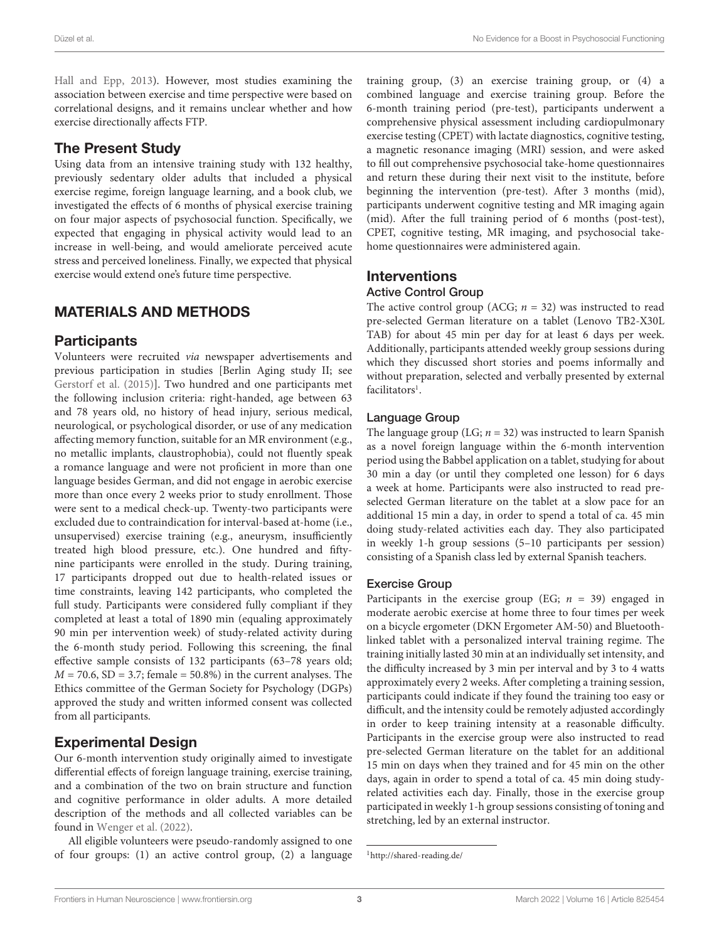[Hall and Epp,](#page-8-15) [2013\)](#page-8-15). However, most studies examining the association between exercise and time perspective were based on correlational designs, and it remains unclear whether and how exercise directionally affects FTP.

### The Present Study

Using data from an intensive training study with 132 healthy, previously sedentary older adults that included a physical exercise regime, foreign language learning, and a book club, we investigated the effects of 6 months of physical exercise training on four major aspects of psychosocial function. Specifically, we expected that engaging in physical activity would lead to an increase in well-being, and would ameliorate perceived acute stress and perceived loneliness. Finally, we expected that physical exercise would extend one's future time perspective.

### MATERIALS AND METHODS

### **Participants**

Volunteers were recruited via newspaper advertisements and previous participation in studies [Berlin Aging study II; see [Gerstorf et al.](#page-8-16) [\(2015\)](#page-8-16)]. Two hundred and one participants met the following inclusion criteria: right-handed, age between 63 and 78 years old, no history of head injury, serious medical, neurological, or psychological disorder, or use of any medication affecting memory function, suitable for an MR environment (e.g., no metallic implants, claustrophobia), could not fluently speak a romance language and were not proficient in more than one language besides German, and did not engage in aerobic exercise more than once every 2 weeks prior to study enrollment. Those were sent to a medical check-up. Twenty-two participants were excluded due to contraindication for interval-based at-home (i.e., unsupervised) exercise training (e.g., aneurysm, insufficiently treated high blood pressure, etc.). One hundred and fiftynine participants were enrolled in the study. During training, 17 participants dropped out due to health-related issues or time constraints, leaving 142 participants, who completed the full study. Participants were considered fully compliant if they completed at least a total of 1890 min (equaling approximately 90 min per intervention week) of study-related activity during the 6-month study period. Following this screening, the final effective sample consists of 132 participants (63–78 years old;  $M = 70.6$ , SD = 3.7; female = 50.8%) in the current analyses. The Ethics committee of the German Society for Psychology (DGPs) approved the study and written informed consent was collected from all participants.

### Experimental Design

Our 6-month intervention study originally aimed to investigate differential effects of foreign language training, exercise training, and a combination of the two on brain structure and function and cognitive performance in older adults. A more detailed description of the methods and all collected variables can be found in [Wenger et al.](#page-10-3) [\(2022\)](#page-10-3).

All eligible volunteers were pseudo-randomly assigned to one of four groups: (1) an active control group, (2) a language training group, (3) an exercise training group, or (4) a combined language and exercise training group. Before the 6-month training period (pre-test), participants underwent a comprehensive physical assessment including cardiopulmonary exercise testing (CPET) with lactate diagnostics, cognitive testing, a magnetic resonance imaging (MRI) session, and were asked to fill out comprehensive psychosocial take-home questionnaires and return these during their next visit to the institute, before beginning the intervention (pre-test). After 3 months (mid), participants underwent cognitive testing and MR imaging again (mid). After the full training period of 6 months (post-test), CPET, cognitive testing, MR imaging, and psychosocial takehome questionnaires were administered again.

# Interventions

### Active Control Group

The active control group (ACG;  $n = 32$ ) was instructed to read pre-selected German literature on a tablet (Lenovo TB2-X30L TAB) for about 45 min per day for at least 6 days per week. Additionally, participants attended weekly group sessions during which they discussed short stories and poems informally and without preparation, selected and verbally presented by external facilitators<sup>[1](#page-2-0)</sup>.

#### Language Group

The language group (LG;  $n = 32$ ) was instructed to learn Spanish as a novel foreign language within the 6-month intervention period using the Babbel application on a tablet, studying for about 30 min a day (or until they completed one lesson) for 6 days a week at home. Participants were also instructed to read preselected German literature on the tablet at a slow pace for an additional 15 min a day, in order to spend a total of ca. 45 min doing study-related activities each day. They also participated in weekly 1-h group sessions (5–10 participants per session) consisting of a Spanish class led by external Spanish teachers.

#### Exercise Group

Participants in the exercise group (EG;  $n = 39$ ) engaged in moderate aerobic exercise at home three to four times per week on a bicycle ergometer (DKN Ergometer AM-50) and Bluetoothlinked tablet with a personalized interval training regime. The training initially lasted 30 min at an individually set intensity, and the difficulty increased by 3 min per interval and by 3 to 4 watts approximately every 2 weeks. After completing a training session, participants could indicate if they found the training too easy or difficult, and the intensity could be remotely adjusted accordingly in order to keep training intensity at a reasonable difficulty. Participants in the exercise group were also instructed to read pre-selected German literature on the tablet for an additional 15 min on days when they trained and for 45 min on the other days, again in order to spend a total of ca. 45 min doing studyrelated activities each day. Finally, those in the exercise group participated in weekly 1-h group sessions consisting of toning and stretching, led by an external instructor.

<span id="page-2-0"></span><sup>1</sup><http://shared-reading.de/>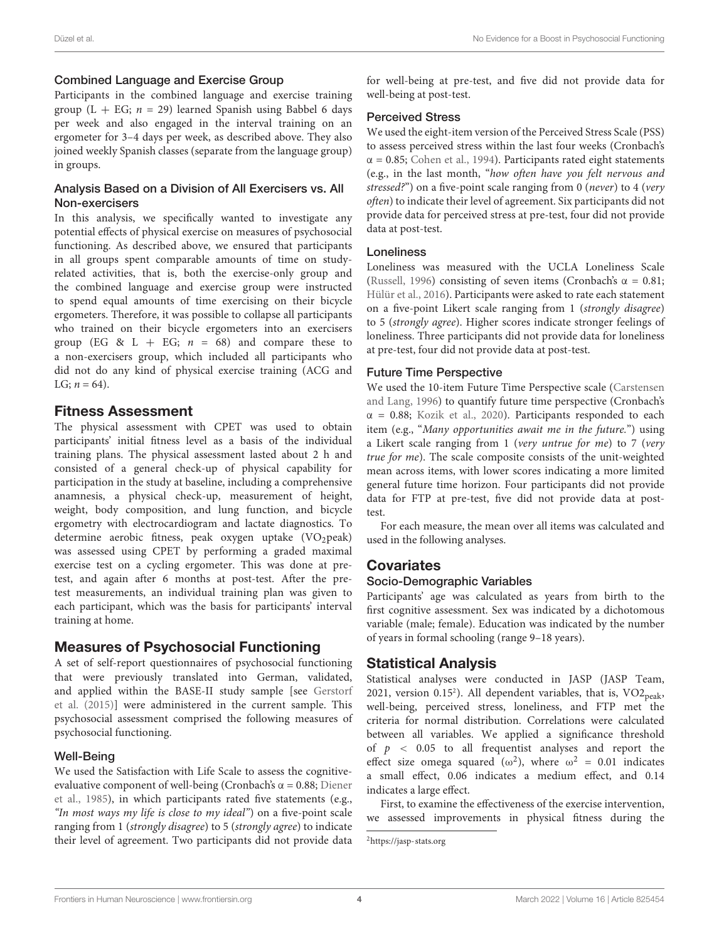#### Combined Language and Exercise Group

Participants in the combined language and exercise training group (L + EG;  $n = 29$ ) learned Spanish using Babbel 6 days per week and also engaged in the interval training on an ergometer for 3–4 days per week, as described above. They also joined weekly Spanish classes (separate from the language group) in groups.

#### Analysis Based on a Division of All Exercisers vs. All Non-exercisers

In this analysis, we specifically wanted to investigate any potential effects of physical exercise on measures of psychosocial functioning. As described above, we ensured that participants in all groups spent comparable amounts of time on studyrelated activities, that is, both the exercise-only group and the combined language and exercise group were instructed to spend equal amounts of time exercising on their bicycle ergometers. Therefore, it was possible to collapse all participants who trained on their bicycle ergometers into an exercisers group (EG & L + EG;  $n = 68$ ) and compare these to a non-exercisers group, which included all participants who did not do any kind of physical exercise training (ACG and LG;  $n = 64$ ).

### Fitness Assessment

The physical assessment with CPET was used to obtain participants' initial fitness level as a basis of the individual training plans. The physical assessment lasted about 2 h and consisted of a general check-up of physical capability for participation in the study at baseline, including a comprehensive anamnesis, a physical check-up, measurement of height, weight, body composition, and lung function, and bicycle ergometry with electrocardiogram and lactate diagnostics. To determine aerobic fitness, peak oxygen uptake  $(VO_2)$ peak) was assessed using CPET by performing a graded maximal exercise test on a cycling ergometer. This was done at pretest, and again after 6 months at post-test. After the pretest measurements, an individual training plan was given to each participant, which was the basis for participants' interval training at home.

### Measures of Psychosocial Functioning

A set of self-report questionnaires of psychosocial functioning that were previously translated into German, validated, and applied within the BASE-II study sample [see [Gerstorf](#page-8-16) [et al.](#page-8-16) [\(2015\)](#page-8-16)] were administered in the current sample. This psychosocial assessment comprised the following measures of psychosocial functioning.

#### Well-Being

We used the Satisfaction with Life Scale to assess the cognitiveevaluative component of well-being (Cronbach's  $\alpha$  = 0.88; [Diener](#page-8-17) [et al.,](#page-8-17) [1985\)](#page-8-17), in which participants rated five statements (e.g., "In most ways my life is close to my ideal") on a five-point scale ranging from 1 (strongly disagree) to 5 (strongly agree) to indicate their level of agreement. Two participants did not provide data for well-being at pre-test, and five did not provide data for well-being at post-test.

#### Perceived Stress

We used the eight-item version of the Perceived Stress Scale (PSS) to assess perceived stress within the last four weeks (Cronbach's  $\alpha$  = 0.85; [Cohen et al.,](#page-8-18) [1994\)](#page-8-18). Participants rated eight statements (e.g., in the last month, "how often have you felt nervous and stressed?") on a five-point scale ranging from 0 (never) to 4 (very often) to indicate their level of agreement. Six participants did not provide data for perceived stress at pre-test, four did not provide data at post-test.

#### Loneliness

Loneliness was measured with the UCLA Loneliness Scale [\(Russell,](#page-9-28) [1996\)](#page-9-28) consisting of seven items (Cronbach's  $\alpha = 0.81$ ; [Hülür et al.,](#page-9-29) [2016\)](#page-9-29). Participants were asked to rate each statement on a five-point Likert scale ranging from 1 (strongly disagree) to 5 (strongly agree). Higher scores indicate stronger feelings of loneliness. Three participants did not provide data for loneliness at pre-test, four did not provide data at post-test.

#### Future Time Perspective

We used the 10-item Future Time Perspective scale [\(Carstensen](#page-8-19) [and Lang,](#page-8-19) [1996\)](#page-8-19) to quantify future time perspective (Cronbach's  $\alpha$  = 0.88; [Kozik et al.,](#page-9-30) [2020\)](#page-9-30). Participants responded to each item (e.g., "Many opportunities await me in the future.") using a Likert scale ranging from 1 (very untrue for me) to 7 (very true for me). The scale composite consists of the unit-weighted mean across items, with lower scores indicating a more limited general future time horizon. Four participants did not provide data for FTP at pre-test, five did not provide data at posttest.

For each measure, the mean over all items was calculated and used in the following analyses.

### **Covariates**

#### Socio-Demographic Variables

Participants' age was calculated as years from birth to the first cognitive assessment. Sex was indicated by a dichotomous variable (male; female). Education was indicated by the number of years in formal schooling (range 9–18 years).

### Statistical Analysis

Statistical analyses were conducted in JASP (JASP Team, [2](#page-3-0)021, version 0.15<sup>2</sup>). All dependent variables, that is,  $VO2_{peak}$ , well-being, perceived stress, loneliness, and FTP met the criteria for normal distribution. Correlations were calculated between all variables. We applied a significance threshold of  $p \sim 0.05$  to all frequentist analyses and report the effect size omega squared ( $\omega^2$ ), where  $\omega^2 = 0.01$  indicates a small effect, 0.06 indicates a medium effect, and 0.14 indicates a large effect.

First, to examine the effectiveness of the exercise intervention, we assessed improvements in physical fitness during the

<span id="page-3-0"></span><sup>2</sup><https://jasp-stats.org>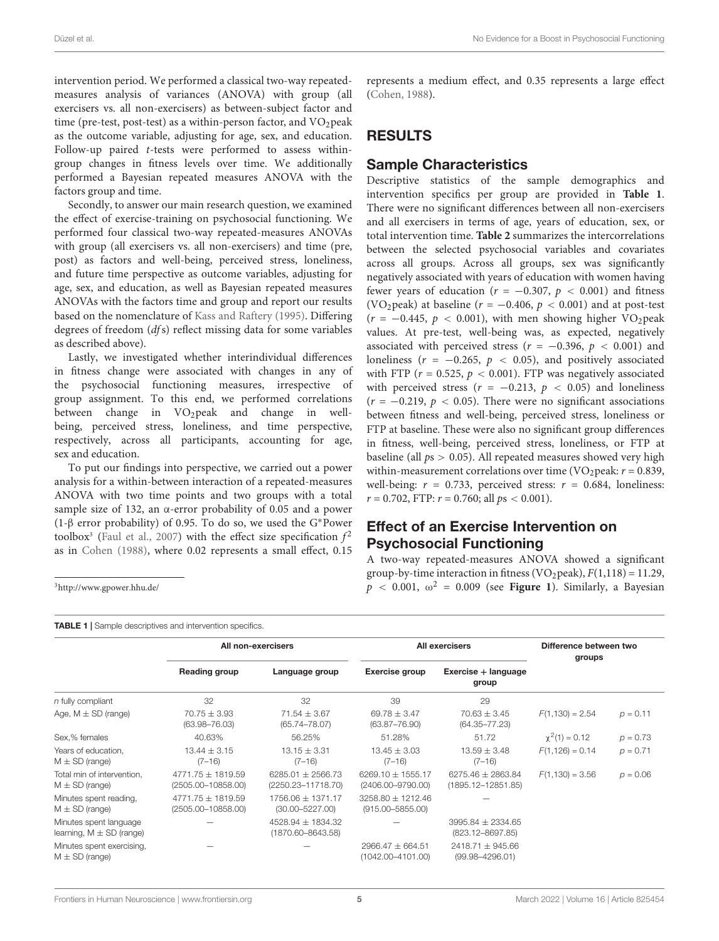intervention period. We performed a classical two-way repeatedmeasures analysis of variances (ANOVA) with group (all exercisers vs. all non-exercisers) as between-subject factor and time (pre-test, post-test) as a within-person factor, and  $VO<sub>2</sub>peak$ as the outcome variable, adjusting for age, sex, and education. Follow-up paired t-tests were performed to assess withingroup changes in fitness levels over time. We additionally performed a Bayesian repeated measures ANOVA with the factors group and time.

Secondly, to answer our main research question, we examined the effect of exercise-training on psychosocial functioning. We performed four classical two-way repeated-measures ANOVAs with group (all exercisers vs. all non-exercisers) and time (pre, post) as factors and well-being, perceived stress, loneliness, and future time perspective as outcome variables, adjusting for age, sex, and education, as well as Bayesian repeated measures ANOVAs with the factors time and group and report our results based on the nomenclature of [Kass and Raftery](#page-9-31) [\(1995\)](#page-9-31). Differing degrees of freedom (dfs) reflect missing data for some variables as described above).

Lastly, we investigated whether interindividual differences in fitness change were associated with changes in any of the psychosocial functioning measures, irrespective of group assignment. To this end, we performed correlations between change in VO<sub>2</sub>peak and change in wellbeing, perceived stress, loneliness, and time perspective, respectively, across all participants, accounting for age, sex and education.

To put our findings into perspective, we carried out a power analysis for a within-between interaction of a repeated-measures ANOVA with two time points and two groups with a total sample size of 132, an α-error probability of 0.05 and a power (1-β error probability) of 0.95. To do so, we used the G∗Power toolbox<sup>[3](#page-4-0)</sup> [\(Faul et al.,](#page-8-20) [2007\)](#page-8-20) with the effect size specification  $f^2$ as in [Cohen](#page-8-21) [\(1988\)](#page-8-21), where 0.02 represents a small effect, 0.15

<span id="page-4-0"></span><sup>3</sup><http://www.gpower.hhu.de/>

<span id="page-4-1"></span>TABLE 1 | Sample descriptives and intervention specifics.

represents a medium effect, and 0.35 represents a large effect [\(Cohen,](#page-8-21) [1988\)](#page-8-21).

### RESULTS

### Sample Characteristics

Descriptive statistics of the sample demographics and intervention specifics per group are provided in **[Table 1](#page-4-1)**. There were no significant differences between all non-exercisers and all exercisers in terms of age, years of education, sex, or total intervention time. **[Table 2](#page-5-0)** summarizes the intercorrelations between the selected psychosocial variables and covariates across all groups. Across all groups, sex was significantly negatively associated with years of education with women having fewer years of education ( $r = -0.307$ ,  $p < 0.001$ ) and fitness (VO<sub>2</sub>peak) at baseline ( $r = -0.406$ ,  $p < 0.001$ ) and at post-test  $(r = -0.445, p < 0.001)$ , with men showing higher VO<sub>2</sub>peak values. At pre-test, well-being was, as expected, negatively associated with perceived stress ( $r = -0.396$ ,  $p < 0.001$ ) and loneliness ( $r = -0.265$ ,  $p < 0.05$ ), and positively associated with FTP ( $r = 0.525$ ,  $p < 0.001$ ). FTP was negatively associated with perceived stress ( $r = -0.213$ ,  $p < 0.05$ ) and loneliness  $(r = -0.219, p < 0.05)$ . There were no significant associations between fitness and well-being, perceived stress, loneliness or FTP at baseline. These were also no significant group differences in fitness, well-being, perceived stress, loneliness, or FTP at baseline (all  $ps > 0.05$ ). All repeated measures showed very high within-measurement correlations over time (VO<sub>2</sub>peak:  $r = 0.839$ , well-being:  $r = 0.733$ , perceived stress:  $r = 0.684$ , loneliness:  $r = 0.702$ , FTP:  $r = 0.760$ ; all  $ps < 0.001$ ).

### Effect of an Exercise Intervention on Psychosocial Functioning

A two-way repeated-measures ANOVA showed a significant group-by-time interaction in fitness (VO<sub>2</sub>peak),  $F(1,118) = 11.29$ ,  $p < 0.001$ ,  $\omega^2 = 0.009$  (see **[Figure 1](#page-6-0)**). Similarly, a Bayesian

|                                                        |                                                 | All non-exercisers                             |                                                | All exercisers                                  | Difference between two<br>groups |            |  |  |  |  |  |
|--------------------------------------------------------|-------------------------------------------------|------------------------------------------------|------------------------------------------------|-------------------------------------------------|----------------------------------|------------|--|--|--|--|--|
|                                                        | Reading group                                   | Language group                                 | Exercise group                                 | Exercise + language<br>group                    |                                  |            |  |  |  |  |  |
| $n$ fully compliant                                    | 32                                              | 32                                             | 39                                             | 29                                              |                                  |            |  |  |  |  |  |
| Age, $M \pm SD$ (range)                                | $70.75 \pm 3.93$<br>$(63.98 - 76.03)$           | $71.54 \pm 3.67$<br>$(65.74 - 78.07)$          | $69.78 \pm 3.47$<br>$(63.87 - 76.90)$          | $70.63 \pm 3.45$<br>$(64.35 - 77.23)$           | $F(1,130) = 2.54$                | $p = 0.11$ |  |  |  |  |  |
| Sex,% females                                          | 40.63%                                          | 56.25%                                         | 51.28%                                         | 51.72                                           | $\chi^2(1) = 0.12$               | $p = 0.73$ |  |  |  |  |  |
| Years of education.<br>$M \pm SD$ (range)              | $13.44 \pm 3.15$<br>$(7 - 16)$                  | $13.15 \pm 3.31$<br>$(7-16)$                   | $13.45 \pm 3.03$<br>$(7 - 16)$                 | $13.59 \pm 3.48$<br>$(7-16)$                    | $F(1, 126) = 0.14$               | $p = 0.71$ |  |  |  |  |  |
| Total min of intervention,<br>$M \pm SD$ (range)       | 4771.75 $\pm$ 1819.59<br>$(2505.00 - 10858.00)$ | 6285.01 $\pm$ 2566.73<br>(2250.23-11718.70)    | 6269.10 $\pm$ 1555.17<br>$(2406.00 - 9790.00)$ | $6275.46 \pm 2863.84$<br>$(1895.12 - 12851.85)$ | $F(1,130) = 3.56$                | $p = 0.06$ |  |  |  |  |  |
| Minutes spent reading,<br>$M \pm SD$ (range)           | $4771.75 \pm 1819.59$<br>(2505.00-10858.00)     | $1756.06 \pm 1371.17$<br>$(30.00 - 5227.00)$   | $3258.80 \pm 1212.46$<br>$(915.00 - 5855.00)$  |                                                 |                                  |            |  |  |  |  |  |
| Minutes spent language<br>learning, $M \pm SD$ (range) |                                                 | $4528.94 \pm 1834.32$<br>$(1870.60 - 8643.58)$ |                                                | $3995.84 \pm 2334.65$<br>$(823.12 - 8697.85)$   |                                  |            |  |  |  |  |  |
| Minutes spent exercising,<br>$M \pm SD$ (range)        |                                                 |                                                | $2966.47 \pm 664.51$<br>(1042.00-4101.00)      | $2418.71 \pm 945.66$<br>$(99.98 - 4296.01)$     |                                  |            |  |  |  |  |  |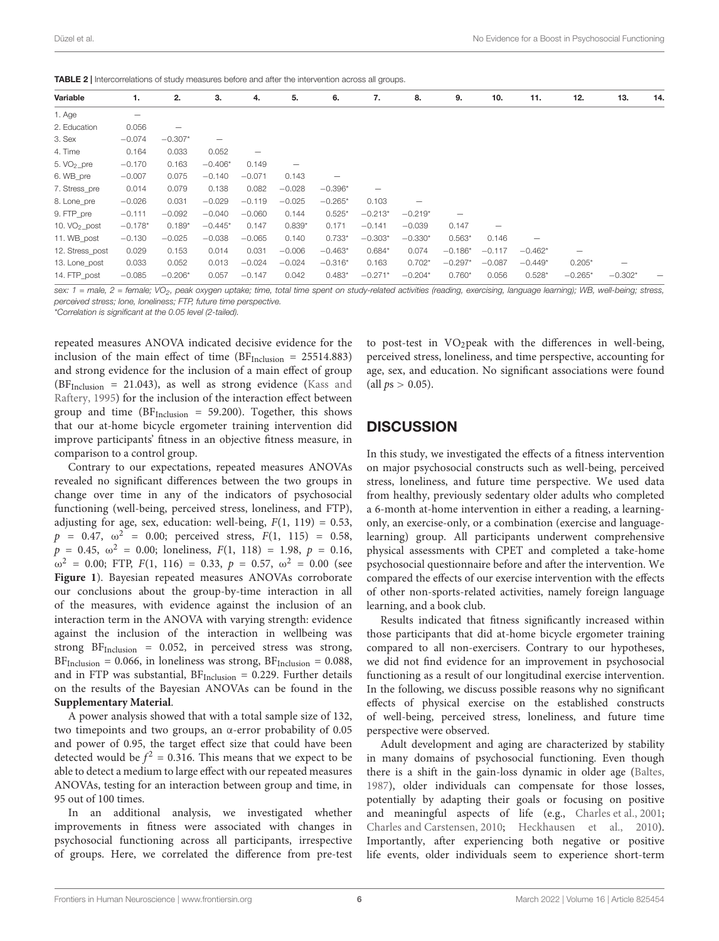| Variable        | 1.                       | 2.        | 3.        | 4.       | 5.       | 6.        | 7.              | 8.        | 9.        | 10.               | 11.       | 12.                      | 13.       | 14. |
|-----------------|--------------------------|-----------|-----------|----------|----------|-----------|-----------------|-----------|-----------|-------------------|-----------|--------------------------|-----------|-----|
| 1. Age          | $\overline{\phantom{m}}$ |           |           |          |          |           |                 |           |           |                   |           |                          |           |     |
| 2. Education    | 0.056                    |           |           |          |          |           |                 |           |           |                   |           |                          |           |     |
| 3. Sex          | $-0.074$                 | $-0.307*$ | -         |          |          |           |                 |           |           |                   |           |                          |           |     |
| 4. Time         | 0.164                    | 0.033     | 0.052     | -        |          |           |                 |           |           |                   |           |                          |           |     |
| 5. $VO2$ pre    | $-0.170$                 | 0.163     | $-0.406*$ | 0.149    |          |           |                 |           |           |                   |           |                          |           |     |
| 6. WB_pre       | $-0.007$                 | 0.075     | $-0.140$  | $-0.071$ | 0.143    |           |                 |           |           |                   |           |                          |           |     |
| 7. Stress pre   | 0.014                    | 0.079     | 0.138     | 0.082    | $-0.028$ | $-0.396*$ | $\qquad \qquad$ |           |           |                   |           |                          |           |     |
| 8. Lone_pre     | $-0.026$                 | 0.031     | $-0.029$  | $-0.119$ | $-0.025$ | $-0.265*$ | 0.103           |           |           |                   |           |                          |           |     |
| 9. FTP_pre      | $-0.111$                 | $-0.092$  | $-0.040$  | $-0.060$ | 0.144    | $0.525*$  | $-0.213*$       | $-0.219*$ |           |                   |           |                          |           |     |
| 10. $VO_2$ post | $-0.178*$                | $0.189*$  | $-0.445*$ | 0.147    | $0.839*$ | 0.171     | $-0.141$        | $-0.039$  | 0.147     | $\qquad \qquad -$ |           |                          |           |     |
| 11. WB post     | $-0.130$                 | $-0.025$  | $-0.038$  | $-0.065$ | 0.140    | $0.733*$  | $-0.303*$       | $-0.330*$ | $0.563*$  | 0.146             |           |                          |           |     |
| 12. Stress post | 0.029                    | 0.153     | 0.014     | 0.031    | $-0.006$ | $-0.463*$ | $0.684*$        | 0.074     | $-0.186*$ | $-0.117$          | $-0.462*$ | $\overline{\phantom{0}}$ |           |     |
| 13. Lone post   | 0.033                    | 0.052     | 0.013     | $-0.024$ | $-0.024$ | $-0.316*$ | 0.163           | $0.702*$  | $-0.297*$ | $-0.087$          | $-0.449*$ | $0.205*$                 |           |     |
| 14. FTP post    | $-0.085$                 | $-0.206*$ | 0.057     | $-0.147$ | 0.042    | $0.483*$  | $-0.271*$       | $-0.204*$ | $0.760*$  | 0.056             | $0.528*$  | $-0.265*$                | $-0.302*$ |     |

<span id="page-5-0"></span>TABLE 2 | Intercorrelations of study measures before and after the intervention across all groups

sex: 1 = male, 2 = female; VO<sub>2</sub>, peak oxygen uptake; time, total time spent on study-related activities (reading, exercising, language learning); WB, well-being; stress, perceived stress; lone, loneliness; FTP, future time perspective.

\*Correlation is significant at the 0.05 level (2-tailed).

repeated measures ANOVA indicated decisive evidence for the inclusion of the main effect of time ( $BF<sub>Inclusion</sub> = 25514.883$ ) and strong evidence for the inclusion of a main effect of group  $(BF<sub>Inclusion</sub> = 21.043)$ , as well as strong evidence [\(Kass and](#page-9-31) [Raftery,](#page-9-31) [1995\)](#page-9-31) for the inclusion of the interaction effect between group and time  $(BF<sub>Inclusion</sub> = 59.200)$ . Together, this shows that our at-home bicycle ergometer training intervention did improve participants' fitness in an objective fitness measure, in comparison to a control group.

Contrary to our expectations, repeated measures ANOVAs revealed no significant differences between the two groups in change over time in any of the indicators of psychosocial functioning (well-being, perceived stress, loneliness, and FTP), adjusting for age, sex, education: well-being,  $F(1, 119) = 0.53$ ,  $p = 0.47, \omega^2 = 0.00;$  perceived stress,  $F(1, 115) = 0.58$ ,  $p = 0.45, \omega^2 = 0.00;$  loneliness,  $F(1, 118) = 1.98, p = 0.16,$  $ω<sup>2</sup> = 0.00$ ; FTP,  $F(1, 116) = 0.33$ ,  $p = 0.57$ ,  $ω<sup>2</sup> = 0.00$  (see **[Figure 1](#page-6-0)**). Bayesian repeated measures ANOVAs corroborate our conclusions about the group-by-time interaction in all of the measures, with evidence against the inclusion of an interaction term in the ANOVA with varying strength: evidence against the inclusion of the interaction in wellbeing was strong  $BF_{Inclusion} = 0.052$ , in perceived stress was strong,  $BF<sub>Inclusion</sub> = 0.066$ , in loneliness was strong,  $BF<sub>Inclusion</sub> = 0.088$ , and in FTP was substantial,  $BF<sub>Inclusion</sub> = 0.229$ . Further details on the results of the Bayesian ANOVAs can be found in the **[Supplementary Material](#page-8-22)**.

A power analysis showed that with a total sample size of 132, two timepoints and two groups, an α-error probability of 0.05 and power of 0.95, the target effect size that could have been detected would be  $f^2 = 0.316$ . This means that we expect to be able to detect a medium to large effect with our repeated measures ANOVAs, testing for an interaction between group and time, in 95 out of 100 times.

In an additional analysis, we investigated whether improvements in fitness were associated with changes in psychosocial functioning across all participants, irrespective of groups. Here, we correlated the difference from pre-test

to post-test in  $VO<sub>2</sub>peak$  with the differences in well-being, perceived stress, loneliness, and time perspective, accounting for age, sex, and education. No significant associations were found (all  $ps > 0.05$ ).

### **DISCUSSION**

In this study, we investigated the effects of a fitness intervention on major psychosocial constructs such as well-being, perceived stress, loneliness, and future time perspective. We used data from healthy, previously sedentary older adults who completed a 6-month at-home intervention in either a reading, a learningonly, an exercise-only, or a combination (exercise and languagelearning) group. All participants underwent comprehensive physical assessments with CPET and completed a take-home psychosocial questionnaire before and after the intervention. We compared the effects of our exercise intervention with the effects of other non-sports-related activities, namely foreign language learning, and a book club.

Results indicated that fitness significantly increased within those participants that did at-home bicycle ergometer training compared to all non-exercisers. Contrary to our hypotheses, we did not find evidence for an improvement in psychosocial functioning as a result of our longitudinal exercise intervention. In the following, we discuss possible reasons why no significant effects of physical exercise on the established constructs of well-being, perceived stress, loneliness, and future time perspective were observed.

Adult development and aging are characterized by stability in many domains of psychosocial functioning. Even though there is a shift in the gain-loss dynamic in older age [\(Baltes,](#page-8-23) [1987\)](#page-8-23), older individuals can compensate for those losses, potentially by adapting their goals or focusing on positive and meaningful aspects of life (e.g., [Charles et al.,](#page-8-24) [2001;](#page-8-24) [Charles and Carstensen,](#page-8-25) [2010;](#page-8-25) [Heckhausen et al.,](#page-9-32) [2010\)](#page-9-32). Importantly, after experiencing both negative or positive life events, older individuals seem to experience short-term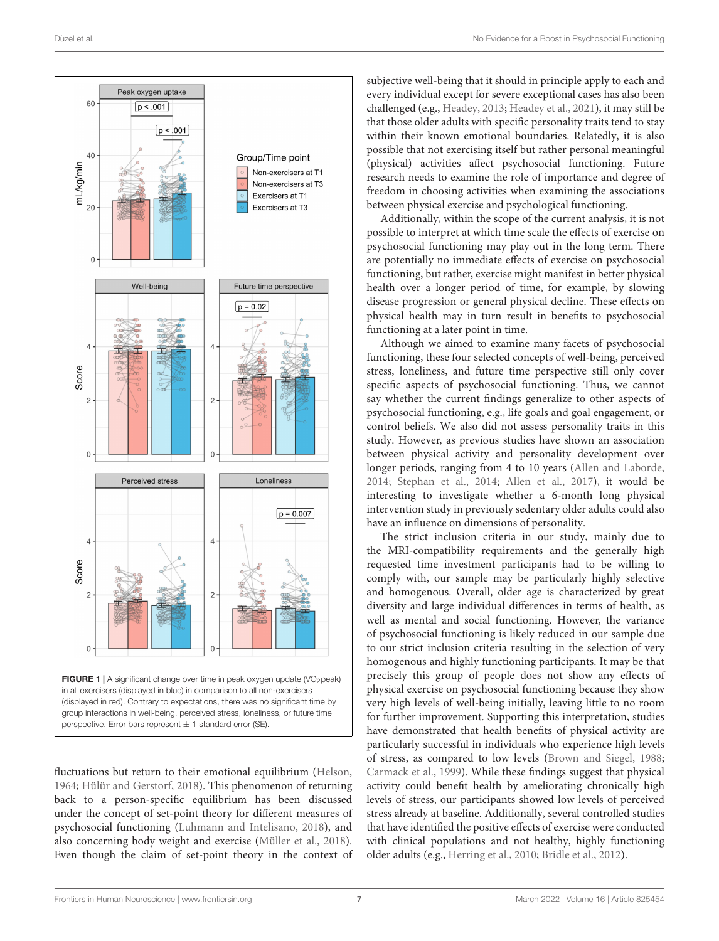

<span id="page-6-0"></span>group interactions in well-being, perceived stress, loneliness, or future time perspective. Error bars represent  $\pm$  1 standard error (SE).

fluctuations but return to their emotional equilibrium [\(Helson,](#page-9-33) [1964;](#page-9-33) [Hülür and Gerstorf,](#page-9-34) [2018\)](#page-9-34). This phenomenon of returning back to a person-specific equilibrium has been discussed under the concept of set-point theory for different measures of psychosocial functioning [\(Luhmann and Intelisano,](#page-9-35) [2018\)](#page-9-35), and also concerning body weight and exercise [\(Müller et al.,](#page-9-36) [2018\)](#page-9-36). Even though the claim of set-point theory in the context of subjective well-being that it should in principle apply to each and every individual except for severe exceptional cases has also been challenged (e.g., [Headey,](#page-9-37) [2013;](#page-9-37) [Headey et al.,](#page-9-38) [2021\)](#page-9-38), it may still be that those older adults with specific personality traits tend to stay within their known emotional boundaries. Relatedly, it is also possible that not exercising itself but rather personal meaningful (physical) activities affect psychosocial functioning. Future research needs to examine the role of importance and degree of freedom in choosing activities when examining the associations between physical exercise and psychological functioning.

Additionally, within the scope of the current analysis, it is not possible to interpret at which time scale the effects of exercise on psychosocial functioning may play out in the long term. There are potentially no immediate effects of exercise on psychosocial functioning, but rather, exercise might manifest in better physical health over a longer period of time, for example, by slowing disease progression or general physical decline. These effects on physical health may in turn result in benefits to psychosocial functioning at a later point in time.

Although we aimed to examine many facets of psychosocial functioning, these four selected concepts of well-being, perceived stress, loneliness, and future time perspective still only cover specific aspects of psychosocial functioning. Thus, we cannot say whether the current findings generalize to other aspects of psychosocial functioning, e.g., life goals and goal engagement, or control beliefs. We also did not assess personality traits in this study. However, as previous studies have shown an association between physical activity and personality development over longer periods, ranging from 4 to 10 years [\(Allen and Laborde,](#page-8-26) [2014;](#page-8-26) [Stephan et al.,](#page-10-4) [2014;](#page-10-4) [Allen et al.,](#page-8-27) [2017\)](#page-8-27), it would be interesting to investigate whether a 6-month long physical intervention study in previously sedentary older adults could also have an influence on dimensions of personality.

The strict inclusion criteria in our study, mainly due to the MRI-compatibility requirements and the generally high requested time investment participants had to be willing to comply with, our sample may be particularly highly selective and homogenous. Overall, older age is characterized by great diversity and large individual differences in terms of health, as well as mental and social functioning. However, the variance of psychosocial functioning is likely reduced in our sample due to our strict inclusion criteria resulting in the selection of very homogenous and highly functioning participants. It may be that precisely this group of people does not show any effects of physical exercise on psychosocial functioning because they show very high levels of well-being initially, leaving little to no room for further improvement. Supporting this interpretation, studies have demonstrated that health benefits of physical activity are particularly successful in individuals who experience high levels of stress, as compared to low levels [\(Brown and Siegel,](#page-8-6) [1988;](#page-8-6) [Carmack et al.,](#page-8-7) [1999\)](#page-8-7). While these findings suggest that physical activity could benefit health by ameliorating chronically high levels of stress, our participants showed low levels of perceived stress already at baseline. Additionally, several controlled studies that have identified the positive effects of exercise were conducted with clinical populations and not healthy, highly functioning older adults (e.g., [Herring et al.,](#page-9-39) [2010;](#page-9-39) [Bridle et al.,](#page-8-28) [2012\)](#page-8-28).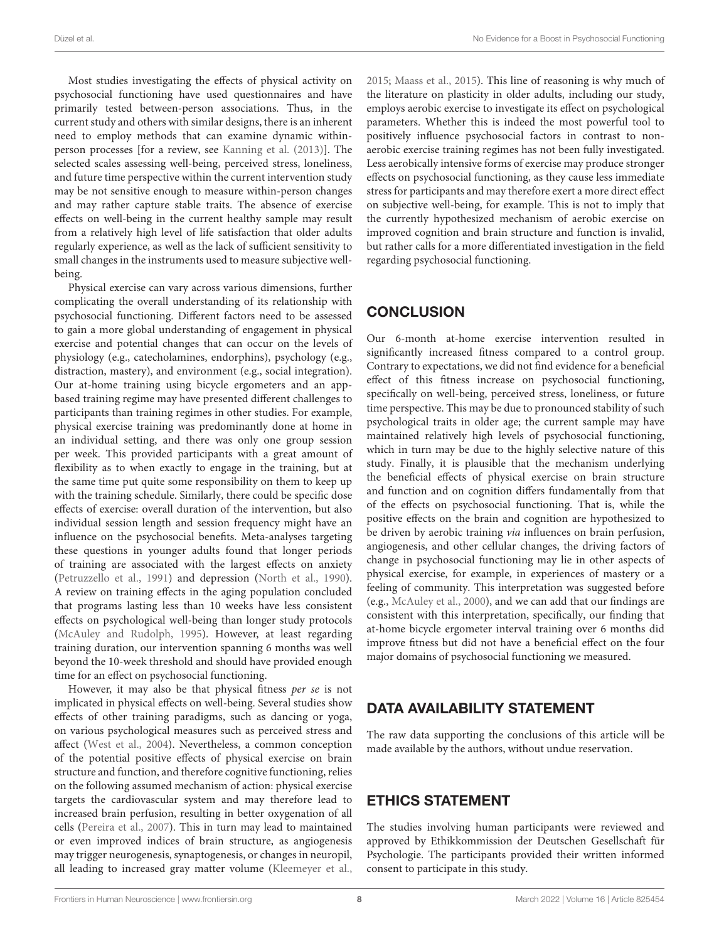Most studies investigating the effects of physical activity on psychosocial functioning have used questionnaires and have primarily tested between-person associations. Thus, in the current study and others with similar designs, there is an inherent need to employ methods that can examine dynamic withinperson processes [for a review, see [Kanning et al.](#page-9-40) [\(2013\)](#page-9-40)]. The selected scales assessing well-being, perceived stress, loneliness, and future time perspective within the current intervention study may be not sensitive enough to measure within-person changes and may rather capture stable traits. The absence of exercise effects on well-being in the current healthy sample may result from a relatively high level of life satisfaction that older adults regularly experience, as well as the lack of sufficient sensitivity to small changes in the instruments used to measure subjective wellbeing.

Physical exercise can vary across various dimensions, further complicating the overall understanding of its relationship with psychosocial functioning. Different factors need to be assessed to gain a more global understanding of engagement in physical exercise and potential changes that can occur on the levels of physiology (e.g., catecholamines, endorphins), psychology (e.g., distraction, mastery), and environment (e.g., social integration). Our at-home training using bicycle ergometers and an appbased training regime may have presented different challenges to participants than training regimes in other studies. For example, physical exercise training was predominantly done at home in an individual setting, and there was only one group session per week. This provided participants with a great amount of flexibility as to when exactly to engage in the training, but at the same time put quite some responsibility on them to keep up with the training schedule. Similarly, there could be specific dose effects of exercise: overall duration of the intervention, but also individual session length and session frequency might have an influence on the psychosocial benefits. Meta-analyses targeting these questions in younger adults found that longer periods of training are associated with the largest effects on anxiety [\(Petruzzello et al.,](#page-9-41) [1991\)](#page-9-41) and depression [\(North et al.,](#page-9-42) [1990\)](#page-9-42). A review on training effects in the aging population concluded that programs lasting less than 10 weeks have less consistent effects on psychological well-being than longer study protocols [\(McAuley and Rudolph,](#page-9-9) [1995\)](#page-9-9). However, at least regarding training duration, our intervention spanning 6 months was well beyond the 10-week threshold and should have provided enough time for an effect on psychosocial functioning.

However, it may also be that physical fitness per se is not implicated in physical effects on well-being. Several studies show effects of other training paradigms, such as dancing or yoga, on various psychological measures such as perceived stress and affect [\(West et al.,](#page-10-1) [2004\)](#page-10-1). Nevertheless, a common conception of the potential positive effects of physical exercise on brain structure and function, and therefore cognitive functioning, relies on the following assumed mechanism of action: physical exercise targets the cardiovascular system and may therefore lead to increased brain perfusion, resulting in better oxygenation of all cells [\(Pereira et al.,](#page-9-5) [2007\)](#page-9-5). This in turn may lead to maintained or even improved indices of brain structure, as angiogenesis may trigger neurogenesis, synaptogenesis, or changes in neuropil, all leading to increased gray matter volume [\(Kleemeyer et al.,](#page-9-6)

[2015;](#page-9-6) [Maass et al.,](#page-9-7) [2015\)](#page-9-7). This line of reasoning is why much of the literature on plasticity in older adults, including our study, employs aerobic exercise to investigate its effect on psychological parameters. Whether this is indeed the most powerful tool to positively influence psychosocial factors in contrast to nonaerobic exercise training regimes has not been fully investigated. Less aerobically intensive forms of exercise may produce stronger effects on psychosocial functioning, as they cause less immediate stress for participants and may therefore exert a more direct effect on subjective well-being, for example. This is not to imply that the currently hypothesized mechanism of aerobic exercise on improved cognition and brain structure and function is invalid, but rather calls for a more differentiated investigation in the field regarding psychosocial functioning.

### **CONCLUSION**

Our 6-month at-home exercise intervention resulted in significantly increased fitness compared to a control group. Contrary to expectations, we did not find evidence for a beneficial effect of this fitness increase on psychosocial functioning, specifically on well-being, perceived stress, loneliness, or future time perspective. This may be due to pronounced stability of such psychological traits in older age; the current sample may have maintained relatively high levels of psychosocial functioning, which in turn may be due to the highly selective nature of this study. Finally, it is plausible that the mechanism underlying the beneficial effects of physical exercise on brain structure and function and on cognition differs fundamentally from that of the effects on psychosocial functioning. That is, while the positive effects on the brain and cognition are hypothesized to be driven by aerobic training via influences on brain perfusion, angiogenesis, and other cellular changes, the driving factors of change in psychosocial functioning may lie in other aspects of physical exercise, for example, in experiences of mastery or a feeling of community. This interpretation was suggested before (e.g., [McAuley et al.,](#page-9-24) [2000\)](#page-9-24), and we can add that our findings are consistent with this interpretation, specifically, our finding that at-home bicycle ergometer interval training over 6 months did improve fitness but did not have a beneficial effect on the four major domains of psychosocial functioning we measured.

# DATA AVAILABILITY STATEMENT

The raw data supporting the conclusions of this article will be made available by the authors, without undue reservation.

### ETHICS STATEMENT

The studies involving human participants were reviewed and approved by Ethikkommission der Deutschen Gesellschaft für Psychologie. The participants provided their written informed consent to participate in this study.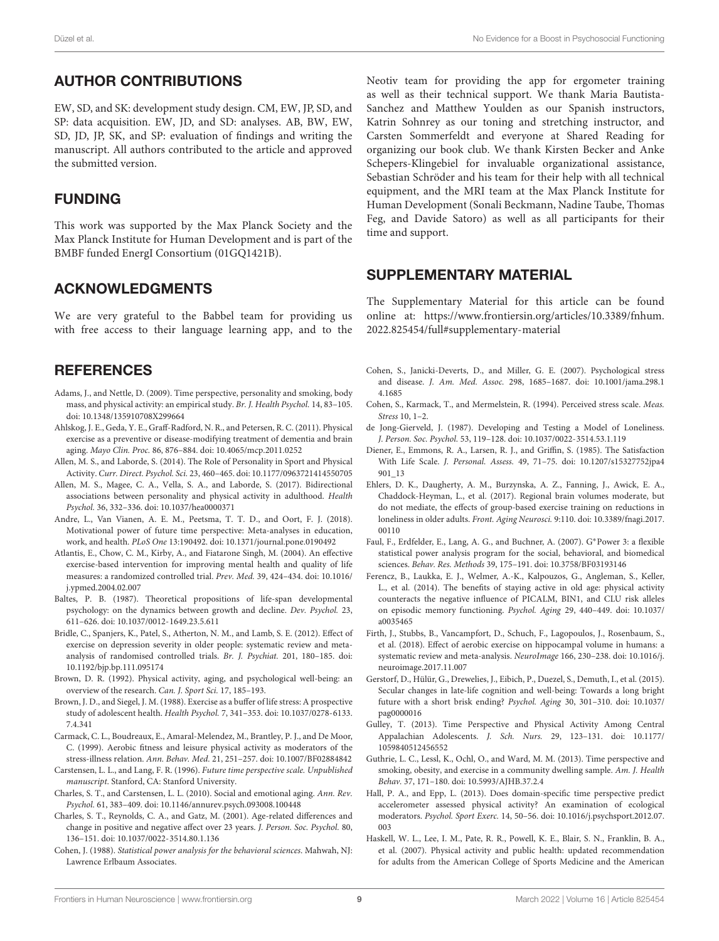# AUTHOR CONTRIBUTIONS

EW, SD, and SK: development study design. CM, EW, JP, SD, and SP: data acquisition. EW, JD, and SD: analyses. AB, BW, EW, SD, JD, JP, SK, and SP: evaluation of findings and writing the manuscript. All authors contributed to the article and approved the submitted version.

### FUNDING

This work was supported by the Max Planck Society and the Max Planck Institute for Human Development and is part of the BMBF funded EnergI Consortium (01GQ1421B).

### ACKNOWLEDGMENTS

We are very grateful to the Babbel team for providing us with free access to their language learning app, and to the

### **REFERENCES**

- <span id="page-8-12"></span>Adams, J., and Nettle, D. (2009). Time perspective, personality and smoking, body mass, and physical activity: an empirical study. Br. J. Health Psychol. 14, 83–105. [doi: 10.1348/135910708X299664](https://doi.org/10.1348/135910708X299664)
- <span id="page-8-1"></span>Ahlskog, J. E., Geda, Y. E., Graff-Radford, N. R., and Petersen, R. C. (2011). Physical exercise as a preventive or disease-modifying treatment of dementia and brain aging. Mayo Clin. Proc. 86, 876–884. [doi: 10.4065/mcp.2011.0252](https://doi.org/10.4065/mcp.2011.0252)
- <span id="page-8-26"></span>Allen, M. S., and Laborde, S. (2014). The Role of Personality in Sport and Physical Activity. Curr. Direct. Psychol. Sci. 23, 460–465. [doi: 10.1177/0963721414550705](https://doi.org/10.1177/0963721414550705)
- <span id="page-8-27"></span>Allen, M. S., Magee, C. A., Vella, S. A., and Laborde, S. (2017). Bidirectional associations between personality and physical activity in adulthood. Health Psychol. 36, 332–336. [doi: 10.1037/hea0000371](https://doi.org/10.1037/hea0000371)
- <span id="page-8-11"></span>Andre, L., Van Vianen, A. E. M., Peetsma, T. T. D., and Oort, F. J. (2018). Motivational power of future time perspective: Meta-analyses in education, work, and health. PLoS One 13:190492. [doi: 10.1371/journal.pone.0190492](https://doi.org/10.1371/journal.pone.0190492)
- <span id="page-8-8"></span>Atlantis, E., Chow, C. M., Kirby, A., and Fiatarone Singh, M. (2004). An effective exercise-based intervention for improving mental health and quality of life measures: a randomized controlled trial. Prev. Med. 39, 424–434. [doi: 10.1016/](https://doi.org/10.1016/j.ypmed.2004.02.007) [j.ypmed.2004.02.007](https://doi.org/10.1016/j.ypmed.2004.02.007)
- <span id="page-8-23"></span>Baltes, P. B. (1987). Theoretical propositions of life-span developmental psychology: on the dynamics between growth and decline. Dev. Psychol. 23, 611–626. [doi: 10.1037/0012-1649.23.5.611](https://doi.org/10.1037/0012-1649.23.5.611)
- <span id="page-8-28"></span>Bridle, C., Spanjers, K., Patel, S., Atherton, N. M., and Lamb, S. E. (2012). Effect of exercise on depression severity in older people: systematic review and metaanalysis of randomised controlled trials. Br. J. Psychiat. 201, 180–185. [doi:](https://doi.org/10.1192/bjp.bp.111.095174) [10.1192/bjp.bp.111.095174](https://doi.org/10.1192/bjp.bp.111.095174)
- <span id="page-8-3"></span>Brown, D. R. (1992). Physical activity, aging, and psychological well-being: an overview of the research. Can. J. Sport Sci. 17, 185–193.
- <span id="page-8-6"></span>Brown, J. D., and Siegel, J. M. (1988). Exercise as a buffer of life stress: A prospective study of adolescent health. Health Psychol. 7, 341–353. [doi: 10.1037/0278-6133.](https://doi.org/10.1037/0278-6133.7.4.341) [7.4.341](https://doi.org/10.1037/0278-6133.7.4.341)
- <span id="page-8-7"></span>Carmack, C. L., Boudreaux, E., Amaral-Melendez, M., Brantley, P. J., and De Moor, C. (1999). Aerobic fitness and leisure physical activity as moderators of the stress-illness relation. Ann. Behav. Med. 21, 251–257. [doi: 10.1007/BF02884842](https://doi.org/10.1007/BF02884842)
- <span id="page-8-19"></span>Carstensen, L. L., and Lang, F. R. (1996). Future time perspective scale. Unpublished manuscript. Stanford, CA: Stanford University.
- <span id="page-8-25"></span>Charles, S. T., and Carstensen, L. L. (2010). Social and emotional aging. Ann. Rev. Psychol. 61, 383–409. [doi: 10.1146/annurev.psych.093008.100448](https://doi.org/10.1146/annurev.psych.093008.100448)
- <span id="page-8-24"></span>Charles, S. T., Reynolds, C. A., and Gatz, M. (2001). Age-related differences and change in positive and negative affect over 23 years. J. Person. Soc. Psychol. 80, 136–151. [doi: 10.1037/0022-3514.80.1.136](https://doi.org/10.1037/0022-3514.80.1.136)
- <span id="page-8-21"></span>Cohen, J. (1988). Statistical power analysis for the behavioral sciences. Mahwah, NJ: Lawrence Erlbaum Associates.

Neotiv team for providing the app for ergometer training as well as their technical support. We thank Maria Bautista-Sanchez and Matthew Youlden as our Spanish instructors, Katrin Sohnrey as our toning and stretching instructor, and Carsten Sommerfeldt and everyone at Shared Reading for organizing our book club. We thank Kirsten Becker and Anke Schepers-Klingebiel for invaluable organizational assistance, Sebastian Schröder and his team for their help with all technical equipment, and the MRI team at the Max Planck Institute for Human Development (Sonali Beckmann, Nadine Taube, Thomas Feg, and Davide Satoro) as well as all participants for their time and support.

### <span id="page-8-22"></span>SUPPLEMENTARY MATERIAL

The Supplementary Material for this article can be found online at: [https://www.frontiersin.org/articles/10.3389/fnhum.](https://www.frontiersin.org/articles/10.3389/fnhum.2022.825454/full#supplementary-material) [2022.825454/full#supplementary-material](https://www.frontiersin.org/articles/10.3389/fnhum.2022.825454/full#supplementary-material)

- <span id="page-8-4"></span>Cohen, S., Janicki-Deverts, D., and Miller, G. E. (2007). Psychological stress and disease. J. Am. Med. Assoc. 298, 1685–1687. [doi: 10.1001/jama.298.1](https://doi.org/10.1001/jama.298.14.1685) [4.1685](https://doi.org/10.1001/jama.298.14.1685)
- <span id="page-8-18"></span>Cohen, S., Karmack, T., and Mermelstein, R. (1994). Perceived stress scale. Meas. Stress 10, 1–2.
- <span id="page-8-9"></span>de Jong-Gierveld, J. (1987). Developing and Testing a Model of Loneliness. J. Person. Soc. Psychol. 53, 119–128. [doi: 10.1037/0022-3514.53.1.119](https://doi.org/10.1037/0022-3514.53.1.119)
- <span id="page-8-17"></span>Diener, E., Emmons, R. A., Larsen, R. J., and Griffin, S. (1985). The Satisfaction With Life Scale. J. Personal. Assess. 49, 71–75. [doi: 10.1207/s15327752jpa4](https://doi.org/10.1207/s15327752jpa4901_13) [901\\_13](https://doi.org/10.1207/s15327752jpa4901_13)
- <span id="page-8-10"></span>Ehlers, D. K., Daugherty, A. M., Burzynska, A. Z., Fanning, J., Awick, E. A., Chaddock-Heyman, L., et al. (2017). Regional brain volumes moderate, but do not mediate, the effects of group-based exercise training on reductions in loneliness in older adults. Front. Aging Neurosci. 9:110. [doi: 10.3389/fnagi.2017.](https://doi.org/10.3389/fnagi.2017.00110) [00110](https://doi.org/10.3389/fnagi.2017.00110)
- <span id="page-8-20"></span>Faul, F., Erdfelder, E., Lang, A. G., and Buchner, A. (2007). G∗Power 3: a flexible statistical power analysis program for the social, behavioral, and biomedical sciences. Behav. Res. Methods 39, 175–191. [doi: 10.3758/BF03193146](https://doi.org/10.3758/BF03193146)
- <span id="page-8-0"></span>Ferencz, B., Laukka, E. J., Welmer, A.-K., Kalpouzos, G., Angleman, S., Keller, L., et al. (2014). The benefits of staying active in old age: physical activity counteracts the negative influence of PICALM, BIN1, and CLU risk alleles on episodic memory functioning. Psychol. Aging 29, 440–449. [doi: 10.1037/](https://doi.org/10.1037/a0035465) [a0035465](https://doi.org/10.1037/a0035465)
- <span id="page-8-2"></span>Firth, J., Stubbs, B., Vancampfort, D., Schuch, F., Lagopoulos, J., Rosenbaum, S., et al. (2018). Effect of aerobic exercise on hippocampal volume in humans: a systematic review and meta-analysis. NeuroImage 166, 230–238. [doi: 10.1016/j.](https://doi.org/10.1016/j.neuroimage.2017.11.007) [neuroimage.2017.11.007](https://doi.org/10.1016/j.neuroimage.2017.11.007)
- <span id="page-8-16"></span>Gerstorf, D., Hülür, G., Drewelies, J., Eibich, P., Duezel, S., Demuth, I., et al. (2015). Secular changes in late-life cognition and well-being: Towards a long bright future with a short brisk ending? Psychol. Aging 30, 301–310. [doi: 10.1037/](https://doi.org/10.1037/pag0000016) [pag0000016](https://doi.org/10.1037/pag0000016)
- <span id="page-8-13"></span>Gulley, T. (2013). Time Perspective and Physical Activity Among Central Appalachian Adolescents. J. Sch. Nurs. 29, 123–131. [doi: 10.1177/](https://doi.org/10.1177/1059840512456552) [1059840512456552](https://doi.org/10.1177/1059840512456552)
- <span id="page-8-14"></span>Guthrie, L. C., Lessl, K., Ochl, O., and Ward, M. M. (2013). Time perspective and smoking, obesity, and exercise in a community dwelling sample. Am. J. Health Behav. 37, 171–180. [doi: 10.5993/AJHB.37.2.4](https://doi.org/10.5993/AJHB.37.2.4)
- <span id="page-8-15"></span>Hall, P. A., and Epp, L. (2013). Does domain-specific time perspective predict accelerometer assessed physical activity? An examination of ecological moderators. Psychol. Sport Exerc. 14, 50–56. [doi: 10.1016/j.psychsport.2012.07.](https://doi.org/10.1016/j.psychsport.2012.07.003) [003](https://doi.org/10.1016/j.psychsport.2012.07.003)
- <span id="page-8-5"></span>Haskell, W. L., Lee, I. M., Pate, R. R., Powell, K. E., Blair, S. N., Franklin, B. A., et al. (2007). Physical activity and public health: updated recommendation for adults from the American College of Sports Medicine and the American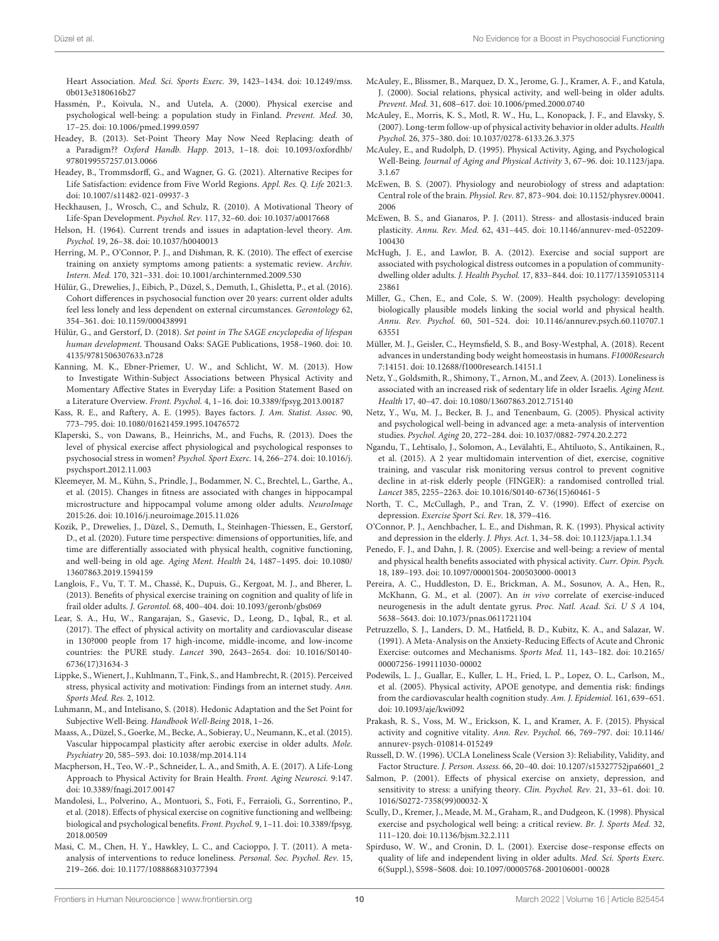Heart Association. Med. Sci. Sports Exerc. 39, 1423-1434. [doi: 10.1249/mss.](https://doi.org/10.1249/mss.0b013e3180616b27) [0b013e3180616b27](https://doi.org/10.1249/mss.0b013e3180616b27)

- <span id="page-9-14"></span>Hassmén, P., Koivula, N., and Uutela, A. (2000). Physical exercise and psychological well-being: a population study in Finland. Prevent. Med. 30, 17–25. [doi: 10.1006/pmed.1999.0597](https://doi.org/10.1006/pmed.1999.0597)
- <span id="page-9-37"></span>Headey, B. (2013). Set-Point Theory May Now Need Replacing: death of a Paradigm?? Oxford Handb. Happ. 2013, 1–18. [doi: 10.1093/oxfordhb/](https://doi.org/10.1093/oxfordhb/9780199557257.013.0066) [9780199557257.013.0066](https://doi.org/10.1093/oxfordhb/9780199557257.013.0066)
- <span id="page-9-38"></span>Headey, B., Trommsdorff, G., and Wagner, G. G. (2021). Alternative Recipes for Life Satisfaction: evidence from Five World Regions. Appl. Res. Q. Life 2021:3. [doi: 10.1007/s11482-021-09937-3](https://doi.org/10.1007/s11482-021-09937-3)
- <span id="page-9-32"></span>Heckhausen, J., Wrosch, C., and Schulz, R. (2010). A Motivational Theory of Life-Span Development. Psychol. Rev. 117, 32–60. [doi: 10.1037/a0017668](https://doi.org/10.1037/a0017668)
- <span id="page-9-33"></span>Helson, H. (1964). Current trends and issues in adaptation-level theory. Am. Psychol. 19, 26–38. [doi: 10.1037/h0040013](https://doi.org/10.1037/h0040013)
- <span id="page-9-39"></span>Herring, M. P., O'Connor, P. J., and Dishman, R. K. (2010). The effect of exercise training on anxiety symptoms among patients: a systematic review. Archiv. Intern. Med. 170, 321–331. [doi: 10.1001/archinternmed.2009.530](https://doi.org/10.1001/archinternmed.2009.530)
- <span id="page-9-29"></span>Hülür, G., Drewelies, J., Eibich, P., Düzel, S., Demuth, I., Ghisletta, P., et al. (2016). Cohort differences in psychosocial function over 20 years: current older adults feel less lonely and less dependent on external circumstances. Gerontology 62, 354–361. [doi: 10.1159/000438991](https://doi.org/10.1159/000438991)
- <span id="page-9-34"></span>Hülür, G., and Gerstorf, D. (2018). Set point in The SAGE encyclopedia of lifespan human development. Thousand Oaks: SAGE Publications, 1958–1960. [doi: 10.](https://doi.org/10.4135/9781506307633.n728) [4135/9781506307633.n728](https://doi.org/10.4135/9781506307633.n728)
- <span id="page-9-40"></span>Kanning, M. K., Ebner-Priemer, U. W., and Schlicht, W. M. (2013). How to Investigate Within-Subject Associations between Physical Activity and Momentary Affective States in Everyday Life: a Position Statement Based on a Literature Overview. Front. Psychol. 4, 1–16. [doi: 10.3389/fpsyg.2013.00187](https://doi.org/10.3389/fpsyg.2013.00187)
- <span id="page-9-31"></span>Kass, R. E., and Raftery, A. E. (1995). Bayes factors. J. Am. Statist. Assoc. 90, 773–795. [doi: 10.1080/01621459.1995.10476572](https://doi.org/10.1080/01621459.1995.10476572)
- <span id="page-9-19"></span>Klaperski, S., von Dawans, B., Heinrichs, M., and Fuchs, R. (2013). Does the level of physical exercise affect physiological and psychological responses to psychosocial stress in women? Psychol. Sport Exerc. 14, 266–274. [doi: 10.1016/j.](https://doi.org/10.1016/j.psychsport.2012.11.003) [psychsport.2012.11.003](https://doi.org/10.1016/j.psychsport.2012.11.003)
- <span id="page-9-6"></span>Kleemeyer, M. M., Kühn, S., Prindle, J., Bodammer, N. C., Brechtel, L., Garthe, A., et al. (2015). Changes in fitness are associated with changes in hippocampal microstructure and hippocampal volume among older adults. NeuroImage 2015:26. [doi: 10.1016/j.neuroimage.2015.11.026](https://doi.org/10.1016/j.neuroimage.2015.11.026)
- <span id="page-9-30"></span>Kozik, P., Drewelies, J., Düzel, S., Demuth, I., Steinhagen-Thiessen, E., Gerstorf, D., et al. (2020). Future time perspective: dimensions of opportunities, life, and time are differentially associated with physical health, cognitive functioning, and well-being in old age. Aging Ment. Health 24, 1487–1495. [doi: 10.1080/](https://doi.org/10.1080/13607863.2019.1594159) [13607863.2019.1594159](https://doi.org/10.1080/13607863.2019.1594159)
- <span id="page-9-13"></span>Langlois, F., Vu, T. T. M., Chassé, K., Dupuis, G., Kergoat, M. J., and Bherer, L. (2013). Benefits of physical exercise training on cognition and quality of life in frail older adults. J. Gerontol. 68, 400–404. [doi: 10.1093/geronb/gbs069](https://doi.org/10.1093/geronb/gbs069)
- <span id="page-9-2"></span>Lear, S. A., Hu, W., Rangarajan, S., Gasevic, D., Leong, D., Iqbal, R., et al. (2017). The effect of physical activity on mortality and cardiovascular disease in 130?000 people from 17 high-income, middle-income, and low-income countries: the PURE study. Lancet 390, 2643–2654. [doi: 10.1016/S0140-](https://doi.org/10.1016/S0140-6736(17)31634-3) [6736\(17\)31634-3](https://doi.org/10.1016/S0140-6736(17)31634-3)
- <span id="page-9-20"></span>Lippke, S., Wienert, J., Kuhlmann, T., Fink, S., and Hambrecht, R. (2015). Perceived stress, physical activity and motivation: Findings from an internet study. Ann. Sports Med. Res. 2, 1012.
- <span id="page-9-35"></span>Luhmann, M., and Intelisano, S. (2018). Hedonic Adaptation and the Set Point for Subjective Well-Being. Handbook Well-Being 2018, 1–26.
- <span id="page-9-7"></span>Maass, A., Düzel, S., Goerke, M., Becke, A., Sobieray, U., Neumann, K., et al. (2015). Vascular hippocampal plasticity after aerobic exercise in older adults. Mole. Psychiatry 20, 585–593. [doi: 10.1038/mp.2014.114](https://doi.org/10.1038/mp.2014.114)
- <span id="page-9-1"></span>Macpherson, H., Teo, W.-P., Schneider, L. A., and Smith, A. E. (2017). A Life-Long Approach to Physical Activity for Brain Health. Front. Aging Neurosci. 9:147. [doi: 10.3389/fnagi.2017.00147](https://doi.org/10.3389/fnagi.2017.00147)
- <span id="page-9-16"></span>Mandolesi, L., Polverino, A., Montuori, S., Foti, F., Ferraioli, G., Sorrentino, P., et al. (2018). Effects of physical exercise on cognitive functioning and wellbeing: biological and psychological benefits. Front. Psychol. 9, 1–11. [doi: 10.3389/fpsyg.](https://doi.org/10.3389/fpsyg.2018.00509) [2018.00509](https://doi.org/10.3389/fpsyg.2018.00509)
- <span id="page-9-25"></span>Masi, C. M., Chen, H. Y., Hawkley, L. C., and Cacioppo, J. T. (2011). A metaanalysis of interventions to reduce loneliness. Personal. Soc. Psychol. Rev. 15, 219–266. [doi: 10.1177/1088868310377394](https://doi.org/10.1177/1088868310377394)
- <span id="page-9-24"></span>McAuley, E., Blissmer, B., Marquez, D. X., Jerome, G. J., Kramer, A. F., and Katula, J. (2000). Social relations, physical activity, and well-being in older adults. Prevent. Med. 31, 608–617. [doi: 10.1006/pmed.2000.0740](https://doi.org/10.1006/pmed.2000.0740)
- <span id="page-9-15"></span>McAuley, E., Morris, K. S., Motl, R. W., Hu, L., Konopack, J. F., and Elavsky, S. (2007). Long-term follow-up of physical activity behavior in older adults. Health Psychol. 26, 375–380. [doi: 10.1037/0278-6133.26.3.375](https://doi.org/10.1037/0278-6133.26.3.375)
- <span id="page-9-9"></span>McAuley, E., and Rudolph, D. (1995). Physical Activity, Aging, and Psychological Well-Being. Journal of Aging and Physical Activity 3, 67–96. [doi: 10.1123/japa.](https://doi.org/10.1123/japa.3.1.67) [3.1.67](https://doi.org/10.1123/japa.3.1.67)
- <span id="page-9-22"></span>McEwen, B. S. (2007). Physiology and neurobiology of stress and adaptation: Central role of the brain. Physiol. Rev. 87, 873–904. [doi: 10.1152/physrev.00041.](https://doi.org/10.1152/physrev.00041.2006) [2006](https://doi.org/10.1152/physrev.00041.2006)
- <span id="page-9-26"></span>McEwen, B. S., and Gianaros, P. J. (2011). Stress- and allostasis-induced brain plasticity. Annu. Rev. Med. 62, 431–445. [doi: 10.1146/annurev-med-052209-](https://doi.org/10.1146/annurev-med-052209-100430) [100430](https://doi.org/10.1146/annurev-med-052209-100430)
- <span id="page-9-27"></span>McHugh, J. E., and Lawlor, B. A. (2012). Exercise and social support are associated with psychological distress outcomes in a population of communitydwelling older adults. J. Health Psychol. 17, 833–844. [doi: 10.1177/13591053114](https://doi.org/10.1177/1359105311423861) [23861](https://doi.org/10.1177/1359105311423861)
- <span id="page-9-21"></span>Miller, G., Chen, E., and Cole, S. W. (2009). Health psychology: developing biologically plausible models linking the social world and physical health. Annu. Rev. Psychol. 60, 501–524. [doi: 10.1146/annurev.psych.60.110707.1](https://doi.org/10.1146/annurev.psych.60.110707.163551) [63551](https://doi.org/10.1146/annurev.psych.60.110707.163551)
- <span id="page-9-36"></span>Müller, M. J., Geisler, C., Heymsfield, S. B., and Bosy-Westphal, A. (2018). Recent advances in understanding body weight homeostasis in humans. F1000Research 7:14151. [doi: 10.12688/f1000research.14151.1](https://doi.org/10.12688/f1000research.14151.1)
- <span id="page-9-23"></span>Netz, Y., Goldsmith, R., Shimony, T., Arnon, M., and Zeev, A. (2013). Loneliness is associated with an increased risk of sedentary life in older Israelis. Aging Ment. Health 17, 40–47. [doi: 10.1080/13607863.2012.715140](https://doi.org/10.1080/13607863.2012.715140)
- <span id="page-9-11"></span>Netz, Y., Wu, M. J., Becker, B. J., and Tenenbaum, G. (2005). Physical activity and psychological well-being in advanced age: a meta-analysis of intervention studies. Psychol. Aging 20, 272–284. [doi: 10.1037/0882-7974.20.2.272](https://doi.org/10.1037/0882-7974.20.2.272)
- <span id="page-9-4"></span>Ngandu, T., Lehtisalo, J., Solomon, A., Levälahti, E., Ahtiluoto, S., Antikainen, R., et al. (2015). A 2 year multidomain intervention of diet, exercise, cognitive training, and vascular risk monitoring versus control to prevent cognitive decline in at-risk elderly people (FINGER): a randomised controlled trial. Lancet 385, 2255–2263. [doi: 10.1016/S0140-6736\(15\)60461-5](https://doi.org/10.1016/S0140-6736(15)60461-5)
- <span id="page-9-42"></span>North, T. C., McCullagh, P., and Tran, Z. V. (1990). Effect of exercise on depression. Exercise Sport Sci. Rev. 18, 379–416.
- <span id="page-9-8"></span>O'Connor, P. J., Aenchbacher, L. E., and Dishman, R. K. (1993). Physical activity and depression in the elderly. J. Phys. Act. 1, 34–58. [doi: 10.1123/japa.1.1.34](https://doi.org/10.1123/japa.1.1.34)
- <span id="page-9-12"></span>Penedo, F. J., and Dahn, J. R. (2005). Exercise and well-being: a review of mental and physical health benefits associated with physical activity. Curr. Opin. Psych. 18, 189–193. [doi: 10.1097/00001504-200503000-00013](https://doi.org/10.1097/00001504-200503000-00013)
- <span id="page-9-5"></span>Pereira, A. C., Huddleston, D. E., Brickman, A. M., Sosunov, A. A., Hen, R., McKhann, G. M., et al. (2007). An in vivo correlate of exercise-induced neurogenesis in the adult dentate gyrus. Proc. Natl. Acad. Sci. U S A 104, 5638–5643. [doi: 10.1073/pnas.0611721104](https://doi.org/10.1073/pnas.0611721104)
- <span id="page-9-41"></span>Petruzzello, S. J., Landers, D. M., Hatfield, B. D., Kubitz, K. A., and Salazar, W. (1991). A Meta-Analysis on the Anxiety-Reducing Effects of Acute and Chronic Exercise: outcomes and Mechanisms. Sports Med. 11, 143–182. [doi: 10.2165/](https://doi.org/10.2165/00007256-199111030-00002) [00007256-199111030-00002](https://doi.org/10.2165/00007256-199111030-00002)
- <span id="page-9-3"></span>Podewils, L. J., Guallar, E., Kuller, L. H., Fried, L. P., Lopez, O. L., Carlson, M., et al. (2005). Physical activity, APOE genotype, and dementia risk: findings from the cardiovascular health cognition study. Am. J. Epidemiol. 161, 639–651. [doi: 10.1093/aje/kwi092](https://doi.org/10.1093/aje/kwi092)
- <span id="page-9-0"></span>Prakash, R. S., Voss, M. W., Erickson, K. I., and Kramer, A. F. (2015). Physical activity and cognitive vitality. Ann. Rev. Psychol. 66, 769–797. [doi: 10.1146/](https://doi.org/10.1146/annurev-psych-010814-015249) [annurev-psych-010814-015249](https://doi.org/10.1146/annurev-psych-010814-015249)
- <span id="page-9-28"></span>Russell, D. W. (1996). UCLA Loneliness Scale (Version 3): Reliability, Validity, and Factor Structure. J. Person. Assess. 66, 20–40. [doi: 10.1207/s15327752jpa6601\\_2](https://doi.org/10.1207/s15327752jpa6601_2)
- <span id="page-9-18"></span>Salmon, P. (2001). Effects of physical exercise on anxiety, depression, and sensitivity to stress: a unifying theory. Clin. Psychol. Rev. 21, 33–61. [doi: 10.](https://doi.org/10.1016/S0272-7358(99)00032-X) [1016/S0272-7358\(99\)00032-X](https://doi.org/10.1016/S0272-7358(99)00032-X)
- <span id="page-9-17"></span>Scully, D., Kremer, J., Meade, M. M., Graham, R., and Dudgeon, K. (1998). Physical exercise and psychological well being: a critical review. Br. J. Sports Med. 32, 111–120. [doi: 10.1136/bjsm.32.2.111](https://doi.org/10.1136/bjsm.32.2.111)
- <span id="page-9-10"></span>Spirduso, W. W., and Cronin, D. L. (2001). Exercise dose–response effects on quality of life and independent living in older adults. Med. Sci. Sports Exerc. 6(Suppl.), S598–S608. [doi: 10.1097/00005768-200106001-00028](https://doi.org/10.1097/00005768-200106001-00028)